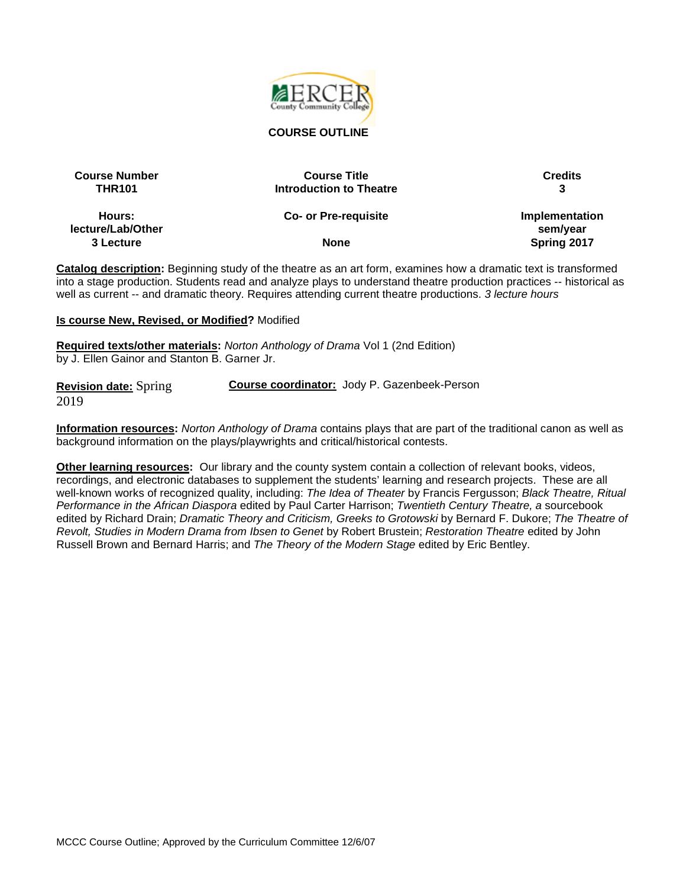

#### **COURSE OUTLINE**

| <b>Course Number</b> | <b>Course Title</b>            | <b>Credits</b> |
|----------------------|--------------------------------|----------------|
| <b>THR101</b>        | <b>Introduction to Theatre</b> |                |
| Hours:               | <b>Co- or Pre-requisite</b>    | Implementation |
| lecture/Lab/Other    |                                | sem/year       |
| 3 Lecture            | <b>None</b>                    | Spring 2017    |

**Catalog description:** Beginning study of the theatre as an art form, examines how a dramatic text is transformed into a stage production. Students read and analyze plays to understand theatre production practices -- historical as well as current -- and dramatic theory. Requires attending current theatre productions. *3 lecture hours*

#### **Is course New, Revised, or Modified?** Modified

**Required texts/other materials:** *Norton Anthology of Drama* Vol 1 (2nd Edition) by J. Ellen Gainor and Stanton B. Garner Jr.

| <b>Revision date:</b> Spring | Course coordinator: Jody P. Gazenbeek-Person |
|------------------------------|----------------------------------------------|
| 2019                         |                                              |

**Information resources:** *Norton Anthology of Drama* contains plays that are part of the traditional canon as well as background information on the plays/playwrights and critical/historical contests.

**Other learning resources:** Our library and the county system contain a collection of relevant books, videos, recordings, and electronic databases to supplement the students' learning and research projects. These are all well-known works of recognized quality, including: *The Idea of Theater* by Francis Fergusson; *Black Theatre, Ritual Performance in the African Diaspora* edited by Paul Carter Harrison; *Twentieth Century Theatre, a* sourcebook edited by Richard Drain; *Dramatic Theory and Criticism, Greeks to Grotowski* by Bernard F. Dukore; *The Theatre of Revolt, Studies in Modern Drama from Ibsen to Genet* by Robert Brustein; *Restoration Theatre* edited by John Russell Brown and Bernard Harris; and *The Theory of the Modern Stage* edited by Eric Bentley.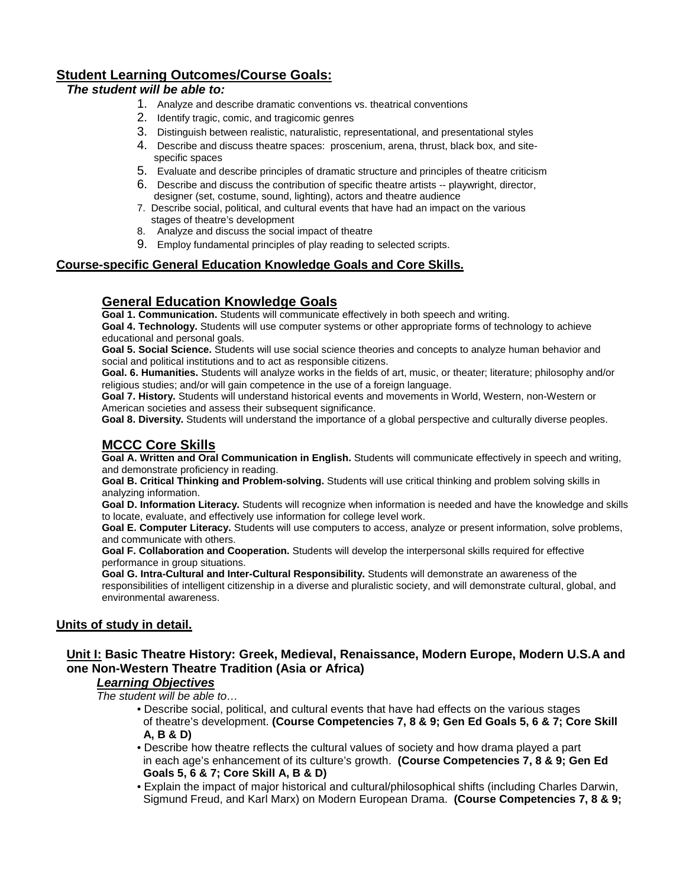## **Student Learning Outcomes/Course Goals:**

#### *The student will be able to:*

- 1. Analyze and describe dramatic conventions vs. theatrical conventions
- 2. Identify tragic, comic, and tragicomic genres
- 3. Distinguish between realistic, naturalistic, representational, and presentational styles
- 4. Describe and discuss theatre spaces: proscenium, arena, thrust, black box, and site specific spaces
- 5. Evaluate and describe principles of dramatic structure and principles of theatre criticism
- 6. Describe and discuss the contribution of specific theatre artists -- playwright, director, designer (set, costume, sound, lighting), actors and theatre audience
- 7. Describe social, political, and cultural events that have had an impact on the various stages of theatre's development
- 8. Analyze and discuss the social impact of theatre
- 9. Employ fundamental principles of play reading to selected scripts.

#### **Course-specific General Education Knowledge Goals and Core Skills.**

## **General Education Knowledge Goals**

**Goal 1. Communication.** Students will communicate effectively in both speech and writing. **Goal 4. Technology.** Students will use computer systems or other appropriate forms of technology to achieve educational and personal goals.

**Goal 5. Social Science.** Students will use social science theories and concepts to analyze human behavior and social and political institutions and to act as responsible citizens.

**Goal. 6. Humanities.** Students will analyze works in the fields of art, music, or theater; literature; philosophy and/or religious studies; and/or will gain competence in the use of a foreign language.

**Goal 7. History.** Students will understand historical events and movements in World, Western, non-Western or American societies and assess their subsequent significance.

**Goal 8. Diversity.** Students will understand the importance of a global perspective and culturally diverse peoples.

## **MCCC Core Skills**

**Goal A. Written and Oral Communication in English.** Students will communicate effectively in speech and writing, and demonstrate proficiency in reading.

**Goal B. Critical Thinking and Problem-solving.** Students will use critical thinking and problem solving skills in analyzing information.

**Goal D. Information Literacy.** Students will recognize when information is needed and have the knowledge and skills to locate, evaluate, and effectively use information for college level work.

**Goal E. Computer Literacy.** Students will use computers to access, analyze or present information, solve problems, and communicate with others.

**Goal F. Collaboration and Cooperation.** Students will develop the interpersonal skills required for effective performance in group situations.

**Goal G. Intra-Cultural and Inter-Cultural Responsibility.** Students will demonstrate an awareness of the responsibilities of intelligent citizenship in a diverse and pluralistic society, and will demonstrate cultural, global, and environmental awareness.

#### **Units of study in detail.**

#### **Unit I: Basic Theatre History: Greek, Medieval, Renaissance, Modern Europe, Modern U.S.A and one Non-Western Theatre Tradition (Asia or Africa)**

# *Learning Objectives*

*The student will be able to…*

- Describe social, political, and cultural events that have had effects on the various stages of theatre's development. **(Course Competencies 7, 8 & 9; Gen Ed Goals 5, 6 & 7; Core Skill A, B & D)**
- Describe how theatre reflects the cultural values of society and how drama played a part in each age's enhancement of its culture's growth. **(Course Competencies 7, 8 & 9; Gen Ed Goals 5, 6 & 7; Core Skill A, B & D)**
- Explain the impact of major historical and cultural/philosophical shifts (including Charles Darwin, Sigmund Freud, and Karl Marx) on Modern European Drama. **(Course Competencies 7, 8 & 9;**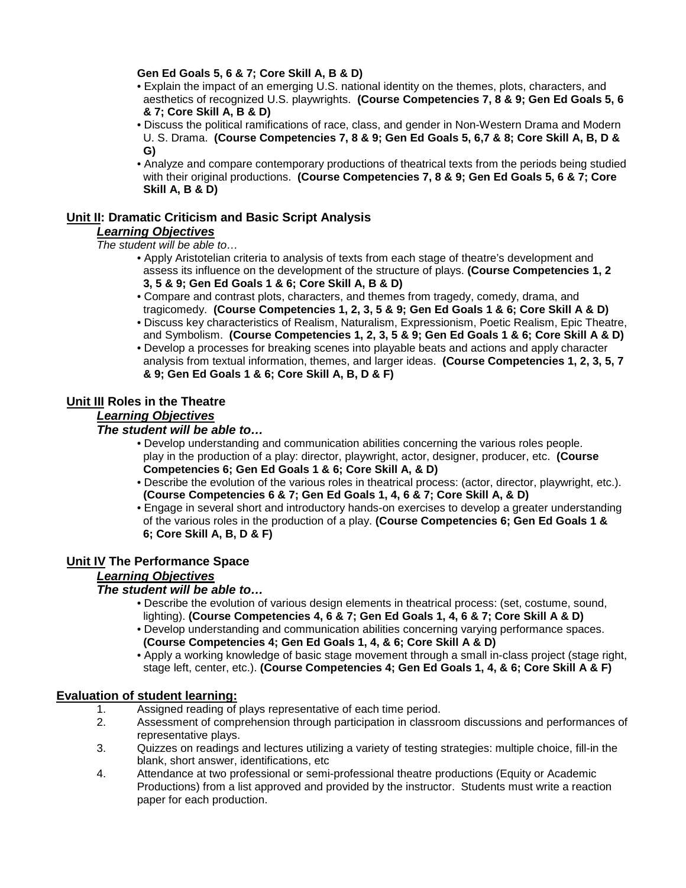#### **Gen Ed Goals 5, 6 & 7; Core Skill A, B & D)**

- Explain the impact of an emerging U.S. national identity on the themes, plots, characters, and aesthetics of recognized U.S. playwrights. **(Course Competencies 7, 8 & 9; Gen Ed Goals 5, 6 & 7; Core Skill A, B & D)**
- Discuss the political ramifications of race, class, and gender in Non-Western Drama and Modern U. S. Drama. **(Course Competencies 7, 8 & 9; Gen Ed Goals 5, 6,7 & 8; Core Skill A, B, D & G)**
- Analyze and compare contemporary productions of theatrical texts from the periods being studied with their original productions. **(Course Competencies 7, 8 & 9; Gen Ed Goals 5, 6 & 7; Core Skill A, B & D)**

# **Unit II: Dramatic Criticism and Basic Script Analysis**

## *Learning Objectives*

*The student will be able to…*

- Apply Aristotelian criteria to analysis of texts from each stage of theatre's development and assess its influence on the development of the structure of plays. **(Course Competencies 1, 2 3, 5 & 9; Gen Ed Goals 1 & 6; Core Skill A, B & D)**
- Compare and contrast plots, characters, and themes from tragedy, comedy, drama, and tragicomedy. **(Course Competencies 1, 2, 3, 5 & 9; Gen Ed Goals 1 & 6; Core Skill A & D)**
- Discuss key characteristics of Realism, Naturalism, Expressionism, Poetic Realism, Epic Theatre, and Symbolism. **(Course Competencies 1, 2, 3, 5 & 9; Gen Ed Goals 1 & 6; Core Skill A & D)**
- Develop a processes for breaking scenes into playable beats and actions and apply character analysis from textual information, themes, and larger ideas. **(Course Competencies 1, 2, 3, 5, 7 & 9; Gen Ed Goals 1 & 6; Core Skill A, B, D & F)**

## **Unit III Roles in the Theatre**

#### *Learning Objectives*

#### *The student will be able to…*

- Develop understanding and communication abilities concerning the various roles people. play in the production of a play: director, playwright, actor, designer, producer, etc. **(Course Competencies 6; Gen Ed Goals 1 & 6; Core Skill A, & D)**
- Describe the evolution of the various roles in theatrical process: (actor, director, playwright, etc.). **(Course Competencies 6 & 7; Gen Ed Goals 1, 4, 6 & 7; Core Skill A, & D)**
- Engage in several short and introductory hands-on exercises to develop a greater understanding of the various roles in the production of a play. **(Course Competencies 6; Gen Ed Goals 1 & 6; Core Skill A, B, D & F)**

## **Unit IV The Performance Space**

## *Learning Objectives*

#### *The student will be able to…*

- Describe the evolution of various design elements in theatrical process: (set, costume, sound, lighting). **(Course Competencies 4, 6 & 7; Gen Ed Goals 1, 4, 6 & 7; Core Skill A & D)**
- Develop understanding and communication abilities concerning varying performance spaces.  **(Course Competencies 4; Gen Ed Goals 1, 4, & 6; Core Skill A & D)**
- Apply a working knowledge of basic stage movement through a small in-class project (stage right, stage left, center, etc.). **(Course Competencies 4; Gen Ed Goals 1, 4, & 6; Core Skill A & F)**

# **Evaluation of student learning:**

- 1. Assigned reading of plays representative of each time period.<br>2. Assessment of comprehension through participation in classro
- 2. Assessment of comprehension through participation in classroom discussions and performances of representative plays.
- 3. Quizzes on readings and lectures utilizing a variety of testing strategies: multiple choice, fill-in the blank, short answer, identifications, etc
- 4. Attendance at two professional or semi-professional theatre productions (Equity or Academic Productions) from a list approved and provided by the instructor. Students must write a reaction paper for each production.